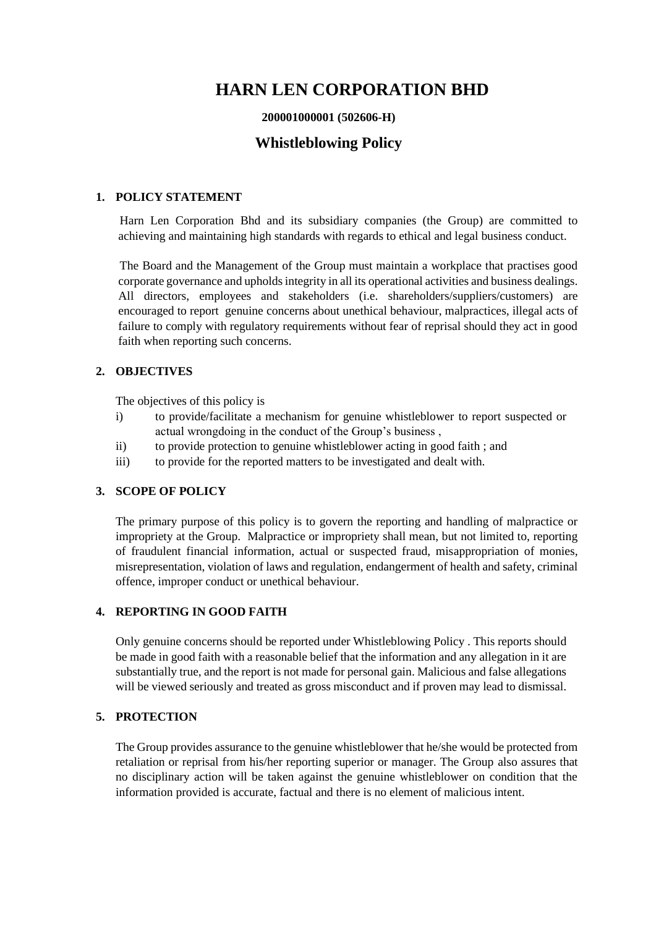## **HARN LEN CORPORATION BHD**

#### **200001000001 (502606-H)**

### **Whistleblowing Policy**

#### **1. POLICY STATEMENT**

 Harn Len Corporation Bhd and its subsidiary companies (the Group) are committed to achieving and maintaining high standards with regards to ethical and legal business conduct.

 The Board and the Management of the Group must maintain a workplace that practises good corporate governance and upholds integrity in all its operational activities and business dealings. All directors, employees and stakeholders (i.e. shareholders/suppliers/customers) are encouraged to report genuine concerns about unethical behaviour, malpractices, illegal acts of failure to comply with regulatory requirements without fear of reprisal should they act in good faith when reporting such concerns.

#### **2. OBJECTIVES**

The objectives of this policy is

- i) to provide/facilitate a mechanism for genuine whistleblower to report suspected or actual wrongdoing in the conduct of the Group's business ,
- ii) to provide protection to genuine whistleblower acting in good faith ; and
- iii) to provide for the reported matters to be investigated and dealt with.

#### **3. SCOPE OF POLICY**

The primary purpose of this policy is to govern the reporting and handling of malpractice or impropriety at the Group. Malpractice or impropriety shall mean, but not limited to, reporting of fraudulent financial information, actual or suspected fraud, misappropriation of monies, misrepresentation, violation of laws and regulation, endangerment of health and safety, criminal offence, improper conduct or unethical behaviour.

#### **4. REPORTING IN GOOD FAITH**

Only genuine concerns should be reported under Whistleblowing Policy . This reports should be made in good faith with a reasonable belief that the information and any allegation in it are substantially true, and the report is not made for personal gain. Malicious and false allegations will be viewed seriously and treated as gross misconduct and if proven may lead to dismissal.

#### **5. PROTECTION**

The Group provides assurance to the genuine whistleblower that he/she would be protected from retaliation or reprisal from his/her reporting superior or manager. The Group also assures that no disciplinary action will be taken against the genuine whistleblower on condition that the information provided is accurate, factual and there is no element of malicious intent.